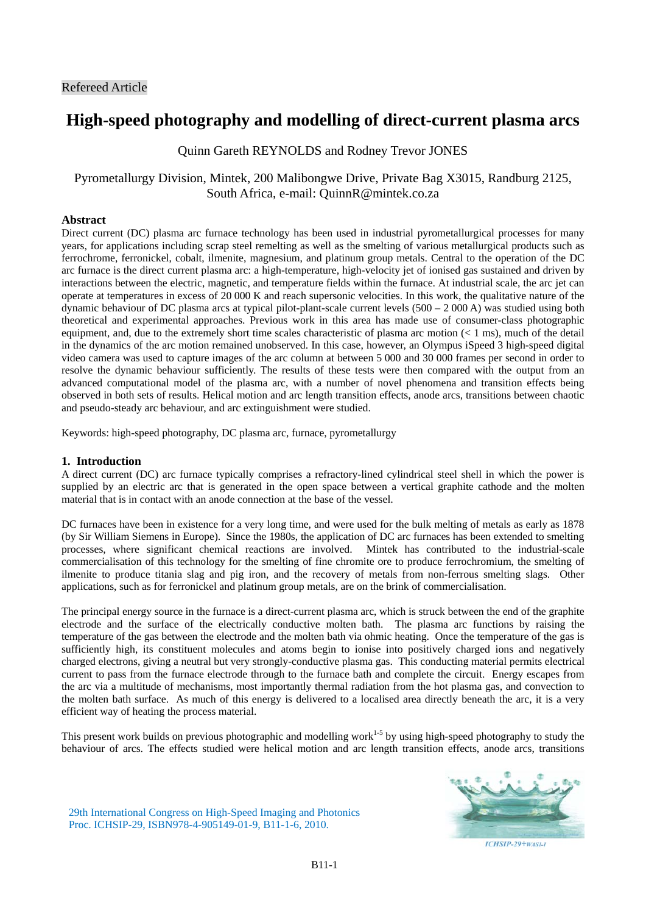# **High-speed photography and modelling of direct-current plasma arcs**

Quinn Gareth REYNOLDS and Rodney Trevor JONES

# Pyrometallurgy Division, Mintek, 200 Malibongwe Drive, Private Bag X3015, Randburg 2125, South Africa, e-mail: QuinnR@mintek.co.za

# **Abstract**

Direct current (DC) plasma arc furnace technology has been used in industrial pyrometallurgical processes for many years, for applications including scrap steel remelting as well as the smelting of various metallurgical products such as ferrochrome, ferronickel, cobalt, ilmenite, magnesium, and platinum group metals. Central to the operation of the DC arc furnace is the direct current plasma arc: a high-temperature, high-velocity jet of ionised gas sustained and driven by interactions between the electric, magnetic, and temperature fields within the furnace. At industrial scale, the arc jet can operate at temperatures in excess of 20 000 K and reach supersonic velocities. In this work, the qualitative nature of the dynamic behaviour of DC plasma arcs at typical pilot-plant-scale current levels  $(500 - 2000 \text{ A})$  was studied using both theoretical and experimental approaches. Previous work in this area has made use of consumer-class photographic equipment, and, due to the extremely short time scales characteristic of plasma arc motion (< 1 ms), much of the detail in the dynamics of the arc motion remained unobserved. In this case, however, an Olympus iSpeed 3 high-speed digital video camera was used to capture images of the arc column at between 5 000 and 30 000 frames per second in order to resolve the dynamic behaviour sufficiently. The results of these tests were then compared with the output from an advanced computational model of the plasma arc, with a number of novel phenomena and transition effects being observed in both sets of results. Helical motion and arc length transition effects, anode arcs, transitions between chaotic and pseudo-steady arc behaviour, and arc extinguishment were studied.

Keywords: high-speed photography, DC plasma arc, furnace, pyrometallurgy

# **1. Introduction**

A direct current (DC) arc furnace typically comprises a refractory-lined cylindrical steel shell in which the power is supplied by an electric arc that is generated in the open space between a vertical graphite cathode and the molten material that is in contact with an anode connection at the base of the vessel.

DC furnaces have been in existence for a very long time, and were used for the bulk melting of metals as early as 1878 (by Sir William Siemens in Europe). Since the 1980s, the application of DC arc furnaces has been extended to smelting processes, where significant chemical reactions are involved. Mintek has contributed to the industrial-scale commercialisation of this technology for the smelting of fine chromite ore to produce ferrochromium, the smelting of ilmenite to produce titania slag and pig iron, and the recovery of metals from non-ferrous smelting slags. Other applications, such as for ferronickel and platinum group metals, are on the brink of commercialisation.

The principal energy source in the furnace is a direct-current plasma arc, which is struck between the end of the graphite electrode and the surface of the electrically conductive molten bath. The plasma arc functions by raising the temperature of the gas between the electrode and the molten bath via ohmic heating. Once the temperature of the gas is sufficiently high, its constituent molecules and atoms begin to ionise into positively charged ions and negatively charged electrons, giving a neutral but very strongly-conductive plasma gas. This conducting material permits electrical current to pass from the furnace electrode through to the furnace bath and complete the circuit. Energy escapes from the arc via a multitude of mechanisms, most importantly thermal radiation from the hot plasma gas, and convection to the molten bath surface. As much of this energy is delivered to a localised area directly beneath the arc, it is a very efficient way of heating the process material.

This present work builds on previous photographic and modelling work<sup>1-5</sup> by using high-speed photography to study the behaviour of arcs. The effects studied were helical motion and arc length transition effects, anode arcs, transitions

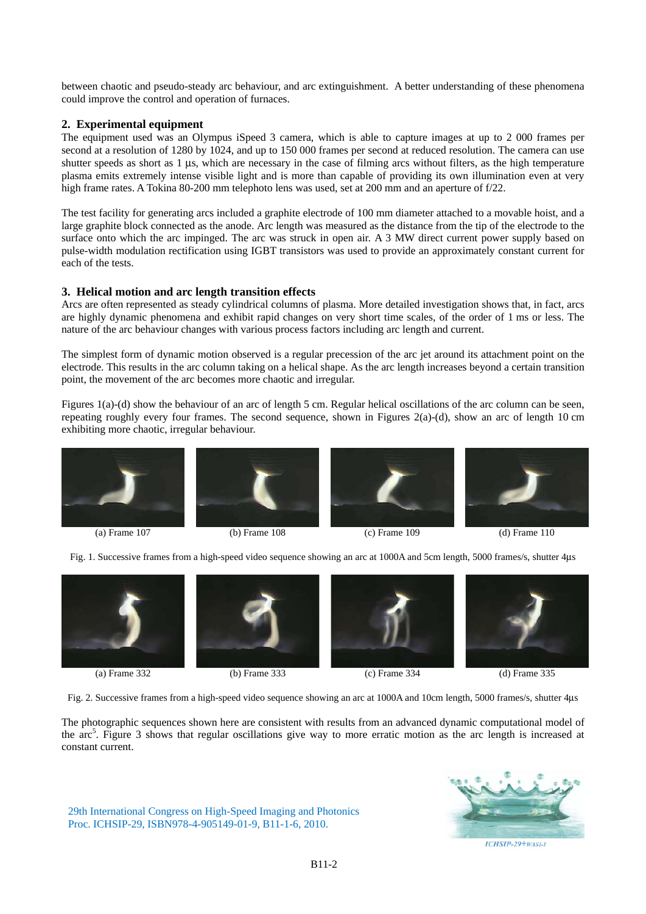between chaotic and pseudo-steady arc behaviour, and arc extinguishment. A better understanding of these phenomena could improve the control and operation of furnaces.

# **2. Experimental equipment**

The equipment used was an Olympus iSpeed 3 camera, which is able to capture images at up to 2 000 frames per second at a resolution of 1280 by 1024, and up to 150 000 frames per second at reduced resolution. The camera can use shutter speeds as short as 1 μs, which are necessary in the case of filming arcs without filters, as the high temperature plasma emits extremely intense visible light and is more than capable of providing its own illumination even at very high frame rates. A Tokina 80-200 mm telephoto lens was used, set at 200 mm and an aperture of f/22.

The test facility for generating arcs included a graphite electrode of 100 mm diameter attached to a movable hoist, and a large graphite block connected as the anode. Arc length was measured as the distance from the tip of the electrode to the surface onto which the arc impinged. The arc was struck in open air. A 3 MW direct current power supply based on pulse-width modulation rectification using IGBT transistors was used to provide an approximately constant current for each of the tests.

#### **3. Helical motion and arc length transition effects**

Arcs are often represented as steady cylindrical columns of plasma. More detailed investigation shows that, in fact, arcs are highly dynamic phenomena and exhibit rapid changes on very short time scales, of the order of 1 ms or less. The nature of the arc behaviour changes with various process factors including arc length and current.

The simplest form of dynamic motion observed is a regular precession of the arc jet around its attachment point on the electrode. This results in the arc column taking on a helical shape. As the arc length increases beyond a certain transition point, the movement of the arc becomes more chaotic and irregular.

Figures 1(a)-(d) show the behaviour of an arc of length 5 cm. Regular helical oscillations of the arc column can be seen, repeating roughly every four frames. The second sequence, shown in Figures 2(a)-(d), show an arc of length 10 cm exhibiting more chaotic, irregular behaviour.







(a) Frame 107 (b) Frame 108 (c) Frame 109 (d) Frame 110



Fig. 1. Successive frames from a high-speed video sequence showing an arc at 1000A and 5cm length, 5000 frames/s, shutter 4μs







(a) Frame 332 (b) Frame 333 (c) Frame 334 (d) Frame 335



Fig. 2. Successive frames from a high-speed video sequence showing an arc at 1000A and 10cm length, 5000 frames/s, shutter 4μs

The photographic sequences shown here are consistent with results from an advanced dynamic computational model of the  $arc^5$ . Figure 3 shows that regular oscillations give way to more erratic motion as the arc length is increased at constant current.

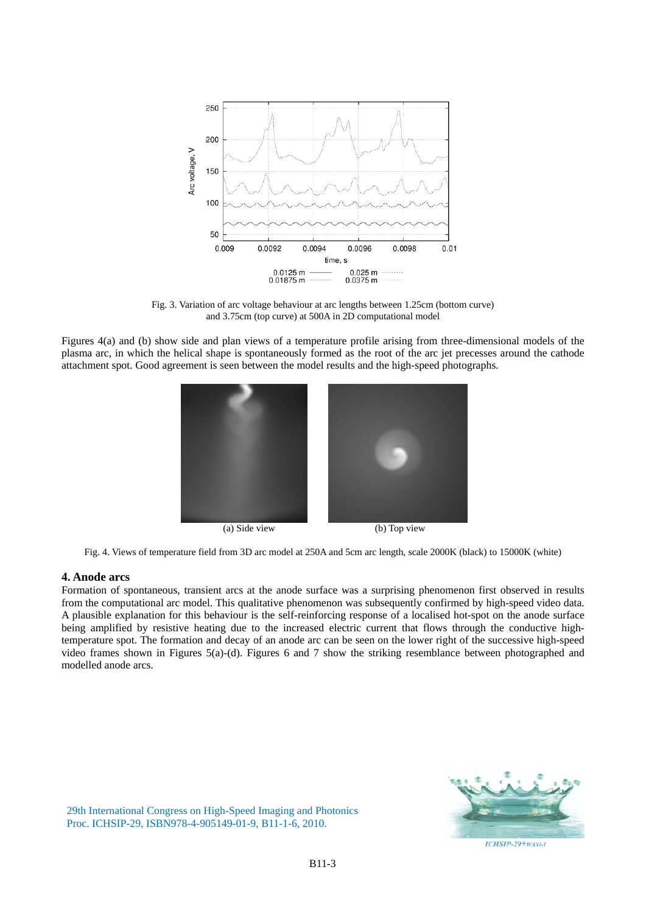

Fig. 3. Variation of arc voltage behaviour at arc lengths between 1.25cm (bottom curve) and 3.75cm (top curve) at 500A in 2D computational model

Figures 4(a) and (b) show side and plan views of a temperature profile arising from three-dimensional models of the plasma arc, in which the helical shape is spontaneously formed as the root of the arc jet precesses around the cathode attachment spot. Good agreement is seen between the model results and the high-speed photographs.



Fig. 4. Views of temperature field from 3D arc model at 250A and 5cm arc length, scale 2000K (black) to 15000K (white)

#### **4. Anode arcs**

Formation of spontaneous, transient arcs at the anode surface was a surprising phenomenon first observed in results from the computational arc model. This qualitative phenomenon was subsequently confirmed by high-speed video data. A plausible explanation for this behaviour is the self-reinforcing response of a localised hot-spot on the anode surface being amplified by resistive heating due to the increased electric current that flows through the conductive hightemperature spot. The formation and decay of an anode arc can be seen on the lower right of the successive high-speed video frames shown in Figures 5(a)-(d). Figures 6 and 7 show the striking resemblance between photographed and modelled anode arcs.

ICHSIP-29+WASI-1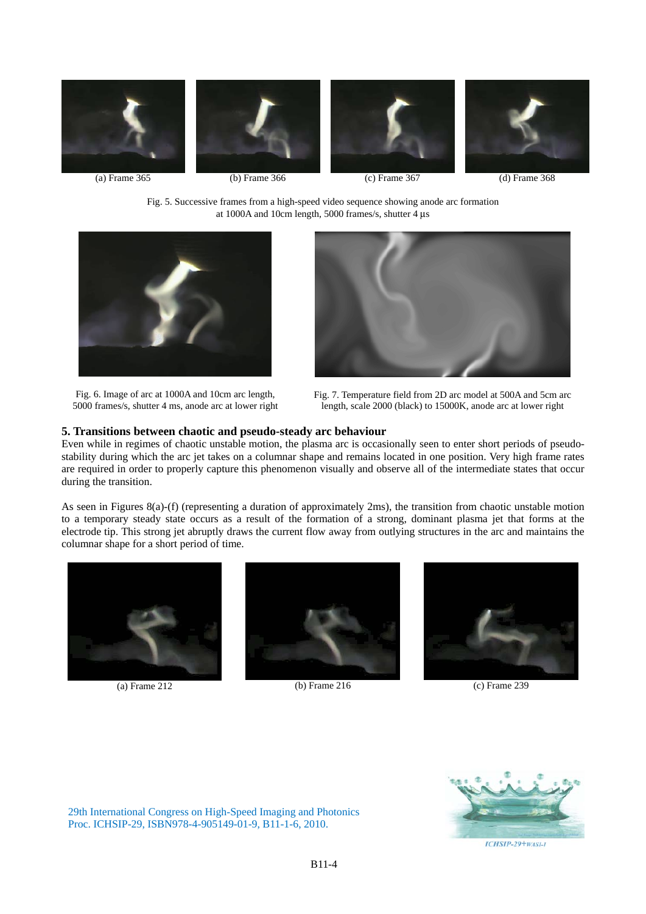







(a) Frame 365 (b) Frame 366 (c) Frame 367 (d) Frame 368

Fig. 5. Successive frames from a high-speed video sequence showing anode arc formation at 1000A and 10cm length, 5000 frames/s, shutter 4 μs



Fig. 6. Image of arc at 1000A and 10cm arc length, 5000 frames/s, shutter 4 ms, anode arc at lower right



Fig. 7. Temperature field from 2D arc model at 500A and 5cm arc length, scale 2000 (black) to 15000K, anode arc at lower right

#### **5. Transitions between chaotic and pseudo-steady arc behaviour**

Even while in regimes of chaotic unstable motion, the plasma arc is occasionally seen to enter short periods of pseudostability during which the arc jet takes on a columnar shape and remains located in one position. Very high frame rates are required in order to properly capture this phenomenon visually and observe all of the intermediate states that occur during the transition.

As seen in Figures 8(a)-(f) (representing a duration of approximately 2ms), the transition from chaotic unstable motion to a temporary steady state occurs as a result of the formation of a strong, dominant plasma jet that forms at the electrode tip. This strong jet abruptly draws the current flow away from outlying structures in the arc and maintains the columnar shape for a short period of time.





(a) Frame 212 (b) Frame 216 (c) Frame 239



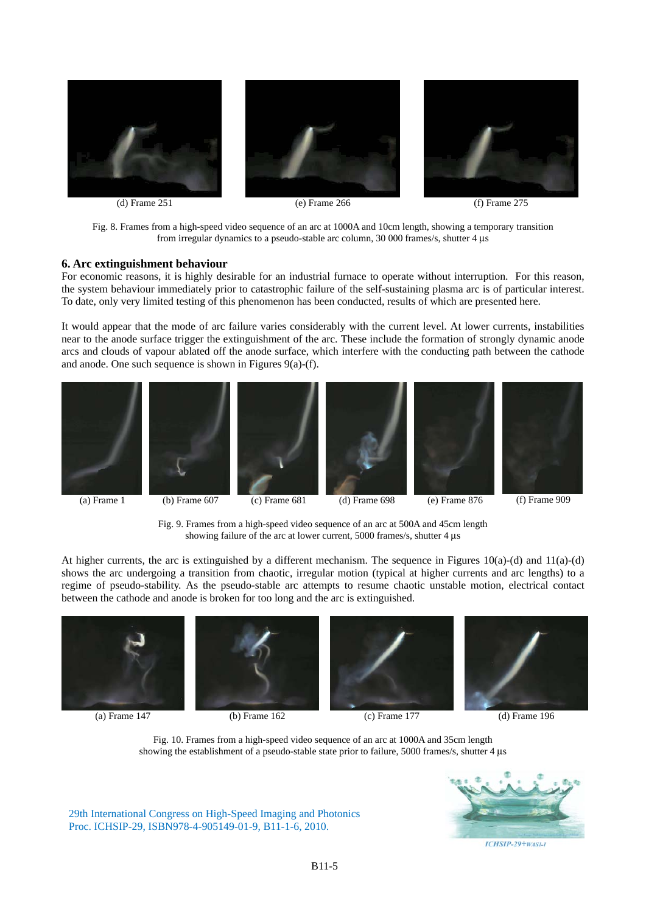

Fig. 8. Frames from a high-speed video sequence of an arc at 1000A and 10cm length, showing a temporary transition from irregular dynamics to a pseudo-stable arc column, 30 000 frames/s, shutter 4 μs

#### **6. Arc extinguishment behaviour**

For economic reasons, it is highly desirable for an industrial furnace to operate without interruption. For this reason, the system behaviour immediately prior to catastrophic failure of the self-sustaining plasma arc is of particular interest. To date, only very limited testing of this phenomenon has been conducted, results of which are presented here.

It would appear that the mode of arc failure varies considerably with the current level. At lower currents, instabilities near to the anode surface trigger the extinguishment of the arc. These include the formation of strongly dynamic anode arcs and clouds of vapour ablated off the anode surface, which interfere with the conducting path between the cathode and anode. One such sequence is shown in Figures 9(a)-(f).













Fig. 9. Frames from a high-speed video sequence of an arc at 500A and 45cm length showing failure of the arc at lower current, 5000 frames/s, shutter 4 μs

At higher currents, the arc is extinguished by a different mechanism. The sequence in Figures  $10(a)$ -(d) and  $11(a)$ -(d) shows the arc undergoing a transition from chaotic, irregular motion (typical at higher currents and arc lengths) to a regime of pseudo-stability. As the pseudo-stable arc attempts to resume chaotic unstable motion, electrical contact between the cathode and anode is broken for too long and the arc is extinguished.









(a) Frame 147 (b) Frame 162 (c) Frame 177 (d) Frame 196

Fig. 10. Frames from a high-speed video sequence of an arc at 1000A and 35cm length showing the establishment of a pseudo-stable state prior to failure, 5000 frames/s, shutter 4 μs